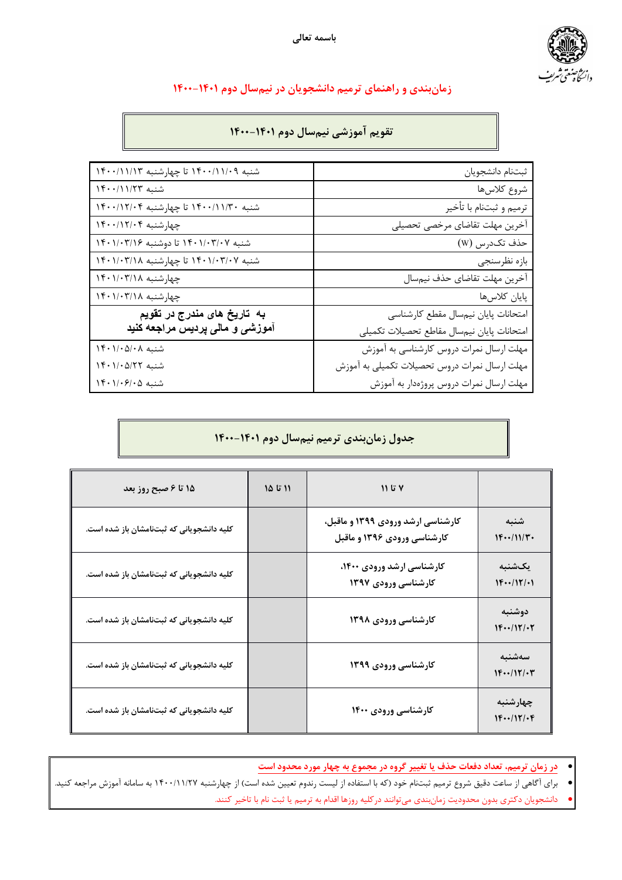

# **نامز دنب ي و امنهار ي میمرت وجشناد ی نا رد نیم لاس مود 1400-1401**

## **میوقت یشزومآ مین لاس مود 1400-1401**

| شنبه ۱۴۰۰/۱۱/۰۹ تا چهارشنبه ۱۴۰۰/۱۱/۱۳                      | ثبتنام دانشجويان                              |
|-------------------------------------------------------------|-----------------------------------------------|
| شنبه ۱۴۰۰/۱۱/۲۳                                             | شروع كلاسها                                   |
| شنبه ۱۴۰۰/۱۱/۳۰ تا چهارشنبه ۱۴۰۰/۱۲/۰۴                      | ترميم و ثبتنام با تأخير                       |
| چهارشنبه ۱۴۰۰/۱۲/۰۴                                         | أخرين مهلت تقاضاي مرخصي تحصيلي                |
| شنبه ۱۴۰۱/۰۳/۱۶ تا دوشنبه ۱۴۰۱/۰۳/۱۶                        | حذف تكدرس (W)                                 |
| شنبه ۱۴۰۱/۰۳/۱/ ۱۴۰ تا چهارشنبه ۱۴۰۱/۰۳/۱۸                  | بازه نظرسنجي                                  |
| چهارشنبه ۱۴۰۱/۰۳/۱۸                                         | آخرين مهلت تقاضاي حذف نيمسال                  |
| چهارشنبه ۱۴۰۱/۰۳/۱۸                                         | پایان کلاسها                                  |
| به تاریخ های مندرج در تقویم                                 | امتحانات پایان نیمسال مقطع کارشناسی           |
| آموزش <i>ی</i> و مال <i>ی</i> پردیس مراجعه کنید             | امتحانات پایان نیمسال مقاطع تحصیلات تکمیلی    |
| $\upgamma \in \upgamma / \cdot \Delta / \cdot \Lambda$ شنبه | مهلت ارسال نمرات دروس كارشناسي به آموزش       |
| شنبه ١۴٠١/٠۵/٢٢                                             | مهلت ارسال نمرات دروس تحصيلات تكميلي به آموزش |
| شنبه ۱۴۰۱/۰۶/۰۵                                             | مهلت ارسال نمرات دروس پروژهدار به آموزش       |

## **لودج نامز يدنب میمرت مین لاس مود 1400-1401**

| ۱۵ تا ۶ صبح روز بعد                       | ۱۱ تا ۱۵ | ۷ تا ۱۱                                                          |                                   |
|-------------------------------------------|----------|------------------------------------------------------------------|-----------------------------------|
| کلیه دانشجویانی که ثبتنامشان باز شده است. |          | کارشناسی ارشد ورودی ۱۳۹۹ و ماقبل،<br>کارشناسی ورودی ۱۳۹۶ و ماقبل | شنبه<br>$1F\cdots/11/F$           |
| کلیه دانشجویانی که ثبتنامشان باز شده است. |          | کارشناسی ارشد ورودی ۱۴۰۰،<br>کارشناسی ورودی ۱۳۹۷                 | بکشنبه<br>$1F\cdots/17/11$        |
| کلیه دانشجویانی که ثبتنامشان باز شده است. |          | کارشناسی ورودی ۱۳۹۸                                              | دوشنبه<br>$1F\cdots/17/-7$        |
| کلیه دانشجویانی که ثبتنامشان باز شده است. |          | کارشناسی ورودی ۱۳۹۹                                              | سەشنبە<br>$1F\cdots/17/\cdot 7$   |
| کلیه دانشجویانی که ثبتنامشان باز شده است. |          | کارشناسی ورودی ۱۴۰۰                                              | چهارشنبه<br>$1F\cdots/17/\cdot F$ |

- **رد نامز ،میمرت دادعت تاعفد فذح ای رییغت هورگ رد عومجم هب راهچ دروم دودحم تسا**
- برای آگاهی از ساعت دقیق شروع ترمیم ثبتنام خود (که با استفاده از لیست رندوم تعیین شده است) از چهارشنبه ۱۴۰۰/۱۱/۲۷ به سامانه آموزش مراجعه کنید.
	- دانشجویان دکتری بدون محدودیت زمانبندی میتوانند درکلیه روزها اقدام به ترمیم یا ثبت نام با تاخیر کنند.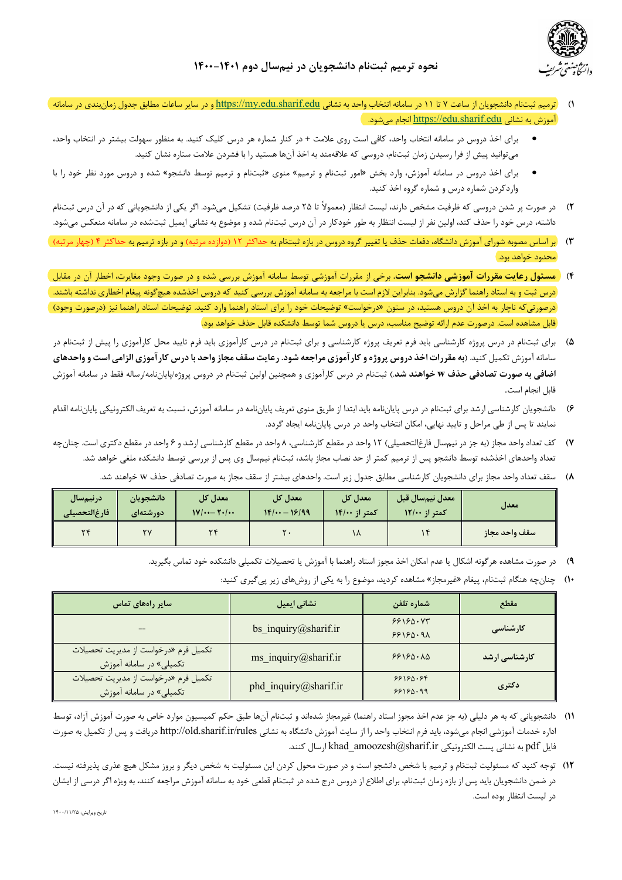

- 1) ترمیم ثبتنام دانشجویان از ساعت Y تا ١١ در سامانه انتخاب واصد به نشانی https://my.edu.sharif.edu و در سایر ساعات مطابق جدول زمان بندی در سامانه **)**  $\hbox{\texttt{https://edu.sharif.edu}}$ انجام می شود. )
- برای اخذ دروس در سامانه انتخاب واحد، کافی است روی علامت + در کنار شماره هر درس کلیک کنید. به منظور سهولت بیشتر در انتخاب واحد، میتوانید پیش از فرا رسیدن زمان ثبتنام، دروسی که علاقهمند به اخذ آنها هستید را با فشردن علامت ستاره نشان کنید.
- برای اخذ دروس در سامانه آموزش، وارد بخش «امور ثبتنام و ترمیم» منوی «ثبتنام و ترمیم توسط دانشجو» شده و دروس مورد نظر خود را با واردکردن شماره درس و شماره گروه اخذ کنید.
- **٢)** در صورت پر شدن دروسی که ظرفیت مشخص دارند، لیست انتظار (معمولاً تا ٢۵ درصد ظرفیت) تشکیل میشود. اگر یکی از دانشجویانی که در آن درس ثبتنام داشته، درس خود را حذف کند، اولین نفر از لیست انتظار به طور خودکار در آن درس ثبتنام شده و موضوع به نشانی ایمیل ثبتشده در سامانه منعکس میشود.
- **3)** رب اساس مصوبه شورای آموزش دانشگاه، دفعات حذف یا تغییر گروه دروس در بازه ثبتنام به حداکثر ۱۲ (دوازده مرتبه) و در بازه ترمیم به حداکثر ۴ (چهار مرتبه) ) محدود خواهد بود.
- ۴) <mark>( مسئول رعایت مقررات آموزشی دانشجو است. برخی از مقررات آموزشی توسط سامانه آموزش بررسی شده و در صورت وجود مغایرت، اخطار آن در مقابل</mark> درس ثبت و به استاد راهنما گزارش می شود. بنابراین لازم است با مراجعه به سامانه آموزش بررسی کنید که دروس اخذشده هیچ گونه پیغام اخطاری نداشته باشند. ) درصورتی که ناچار به اخذ آن دروس هستید، در ستون «درخواست» توضیحات خود را برای استاد راهنما وارد کنید. توضیحات استاد راهنما نیز (درصورت وجود) ) قابل مشاهده است. درصورت عدم ارائه توضیح مناسب، درس یا دروس شما توسط دانشکده قابل حذف خواهد بود.
- ۵) برای ثبتنام در درس پروژه کارشناسی باید فرم تعریف پروژه کارشناسی و برای ثبتنام در درس کارآموزی بایید محل کارآموزی را پیش از ثبتنام در <sub>سامانه</sub> آموزش تکمیل کنید. (به مقررات اخذ دروس پروژه و کارآموزی مراجعه شود. رعایت سقف مجاز واحد با درس کارآموزی الزامی است و واحدهای **اضافي به صورت تصادفي حذف w خواهند شد.) ثبتنام در درس کارآموزي و همچنين اولين ثبتنام در دروس پروژه/پاياننامه/رساله فقط در سامانه آموزش** قابل انجام است.
- ۶) دانشجویان کارشناسی ارشد برای ثبتنام در درس پایاننامه باید ابتدا از طریق منوی تعریف پایاننامه در سامانه آموزش، نسبت به تعریف الکترونیکی پایاننامه اقدام نمایند تا پس از طی مراحل و تایید نهایی، امکان انتخاب واحد در درس پایاننامه ایجاد گردد.
- ۷) کف تعداد واحد مجاز (به جز در نيمسال فارغالتحصيلي) ۱۲ واحد در مقطع کارشناسي کارشناسي ارشد و ۶ واحد در مقطع دکتري است. چنانچه نعداد واحدهای اخذشده توسط دانشجو پس از ترمیم کمتر از حد نصاب مجاز باشد، ثبتنام نیمسال وی پس از بررسی توسط دانشکده ملغی خواهد شد.
	- ۸) سقف تعداد واحد مجاز برای دانشجویان کارشناسی مطابق جدول زیر است. واحدهای بیشتر از سقف مجاز به صورت تصادفی حذف w خواهند شد.

| درنيمسال<br>فارغ التحصيلى | دانشجويان<br>  معدل کل<br> معدل کل<br>$1F/\cdots - 19/99$<br>$1V$ $\cdots$ $Y \cdot$ $\cdots$<br><b>/دورشتهای</b> |        | معدل کل<br>کمتر از ۱۴/۰۰ | معدل نيمسال قبل<br>کمتر از ۱۲/۰۰ | معدل |               |
|---------------------------|-------------------------------------------------------------------------------------------------------------------|--------|--------------------------|----------------------------------|------|---------------|
| $\mathbf{v}$              | ۲V                                                                                                                | $\sim$ |                          | $\sqrt{ }$                       |      | سقف واحد مجاز |

- ۹) در صورت مشاهده هرگونه اشکال یا عدم امکان اخذ مجوز استاد راهنما با آموزش یا تحصیلات تکمیلی دانشکده خود تماس بگیرید.
	- **۱۰) چنانچه هنگام ثبتنام، پیغام «غیرمجاز» مشاهده کردید، موضوع را به یکی از روش های زیر یی** *گ***یری کنید:**

| سایر راههای تماس                                                | نشانی ایمیل           | شماره تلفن           | مقطع                 |
|-----------------------------------------------------------------|-----------------------|----------------------|----------------------|
|                                                                 | bs_inquiry@sharif.ir  | 88180.08<br>88180.91 | کارشناسی             |
| تكميل فرم «درخواست از مديريت تحصيلات<br>تکمیلی» در سامانه آموزش | ms_inquiry@sharif.ir  | 88180.10             | <b>کارشناسی ارشد</b> |
| تكميل فرم «درخواست از مديريت تحصيلات<br>تکمیلی» در سامانه آموزش | phd_inquiry@sharif.ir | 88180.88<br>88180.99 | دکتری                |

- ١١) دانشجویانی که به هر دلیلی (به جز عدم اخذ مجوز استاد راهنما) غیرمجاز شدهاند و ثبتنام آنها طبق حکم کمیسیون موارد خاص به صورت آموزش آزاد، توسط اداره خدمات آموزشی انجام میشود، باید فرم انتخاب واحد را از سایت آموزش دانشگاه به نشانی http://old.sharif.ir/rules دریافت و پس از تکمیل به صورت فایل pdf به نشانی پست الکترونیکی khad\_amoozesh@sharif.ir ارسال کنند.
- ۱۲) قوجه کنید که مسئولیت ثبتنام و ترمیم با شخص دانشجو است و در صورت محول کردن این مسئولیت به شخص دیگر و بروز مشکل هیچ عذری پذیرفته نیست. در ضمن دانشجویان باید پس از بازه زمان ثبتنام، برای اطلاع از دروس درج شده در ثبتنام قطعی خود به سامانه آموزش مراجعه کنند، به ویژه اگر درسی از ایشان در لیست انتظار بوده است.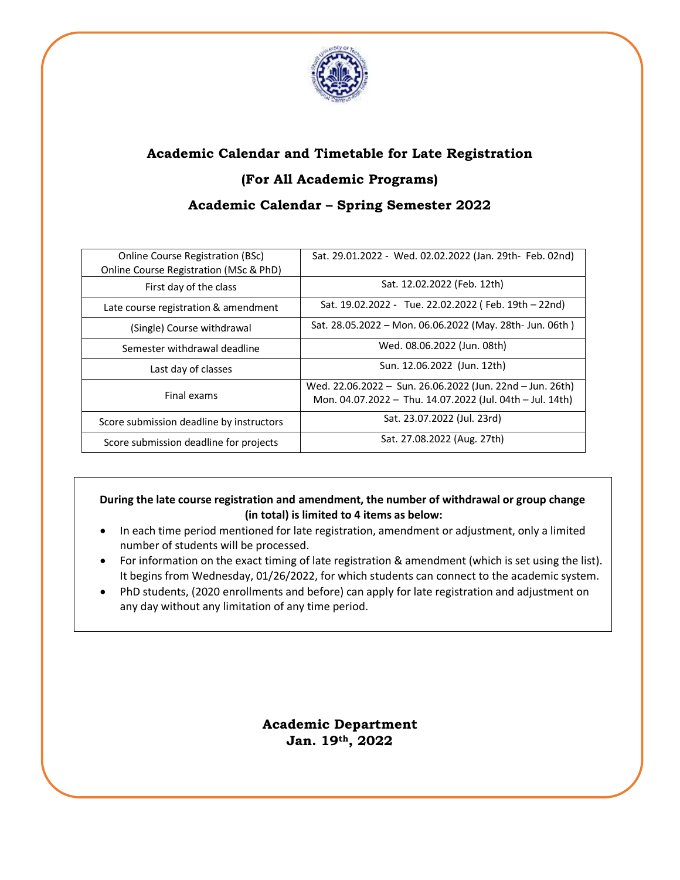

# **Academic Calendar and Timetable for Late Registration (For All Academic Programs) Academic Calendar – Spring Semester 2022**

| <b>Online Course Registration (BSc)</b><br>Online Course Registration (MSc & PhD) | Sat. 29.01.2022 - Wed. 02.02.2022 (Jan. 29th- Feb. 02nd)                                                               |
|-----------------------------------------------------------------------------------|------------------------------------------------------------------------------------------------------------------------|
| First day of the class                                                            | Sat. 12.02.2022 (Feb. 12th)                                                                                            |
| Late course registration & amendment                                              | Sat. 19.02.2022 - Tue. 22.02.2022 (Feb. 19th - 22nd)                                                                   |
| (Single) Course withdrawal                                                        | Sat. 28.05.2022 - Mon. 06.06.2022 (May. 28th- Jun. 06th)                                                               |
| Semester withdrawal deadline                                                      | Wed. 08.06.2022 (Jun. 08th)                                                                                            |
| Last day of classes                                                               | Sun. 12.06.2022 (Jun. 12th)                                                                                            |
| Final exams                                                                       | Wed. 22.06.2022 - Sun. 26.06.2022 (Jun. 22nd - Jun. 26th)<br>Mon. 04.07.2022 - Thu. 14.07.2022 (Jul. 04th - Jul. 14th) |
| Score submission deadline by instructors                                          | Sat. 23.07.2022 (Jul. 23rd)                                                                                            |
| Score submission deadline for projects                                            | Sat. 27.08.2022 (Aug. 27th)                                                                                            |

### **During the late course registration and amendment, the number of withdrawal or group change (in total) is limited to 4 items as below:**

- In each time period mentioned for late registration, amendment or adjustment, only a limited number of students will be processed.
- For information on the exact timing of late registration & amendment (which is set using the list). It begins from Wednesday, 01/26/2022, for which students can connect to the academic system.
- PhD students, (2020 enrollments and before) can apply for late registration and adjustment on any day without any limitation of any time period.

**Academic Department Jan. 19th, 2022**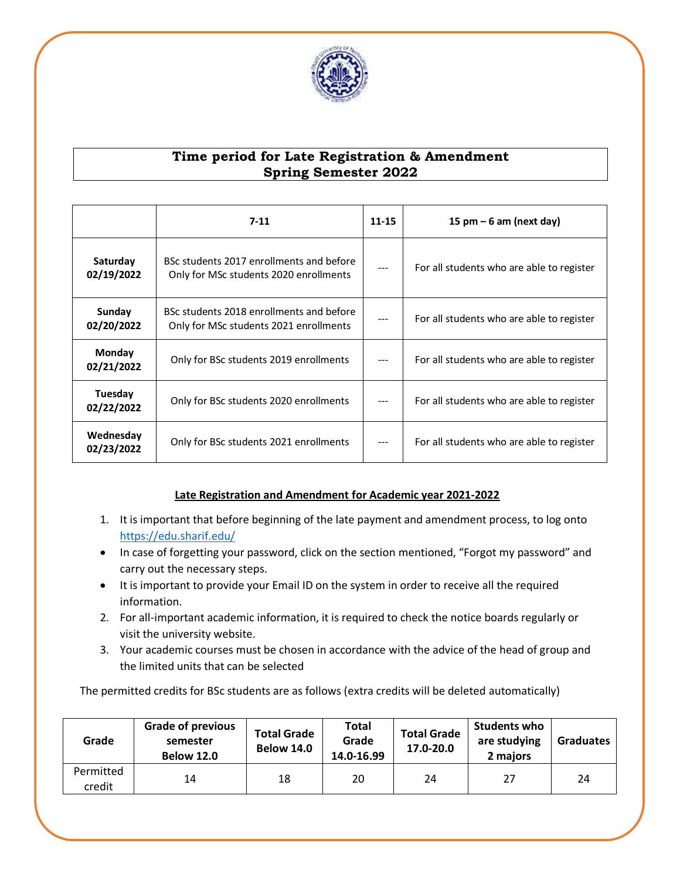

### **Time period for Late Registration & Amendment Spring Semester 2022**

|                                                                                                              | $7 - 11$                               |     | 15 pm $-6$ am (next day)                  |
|--------------------------------------------------------------------------------------------------------------|----------------------------------------|-----|-------------------------------------------|
| BSc students 2017 enrollments and before<br>Saturday<br>02/19/2022<br>Only for MSc students 2020 enrollments |                                        |     | For all students who are able to register |
| Sunday<br>BSc students 2018 enrollments and before<br>02/20/2022<br>Only for MSc students 2021 enrollments   |                                        | --- | For all students who are able to register |
| Monday<br>Only for BSc students 2019 enrollments<br>02/21/2022                                               |                                        | --- | For all students who are able to register |
| Tuesday<br>02/22/2022                                                                                        | Only for BSc students 2020 enrollments |     | For all students who are able to register |
| Wednesday<br>02/23/2022                                                                                      | Only for BSc students 2021 enrollments | --- | For all students who are able to register |

### **Late Registration and Amendment for Academic year 2021-2022**

- 1. It is important that before beginning of the late payment and amendment process, to log onto <https://edu.sharif.edu/>
- In case of forgetting your password, click on the section mentioned, "Forgot my password" and carry out the necessary steps.
- It is important to provide your Email ID on the system in order to receive all the required information.
- 2. For all-important academic information, it is required to check the notice boards regularly or visit the university website.
- 3. Your academic courses must be chosen in accordance with the advice of the head of group and the limited units that can be selected

The permitted credits for BSc students are as follows (extra credits will be deleted automatically)

| Grade               | <b>Grade of previous</b><br>semester<br><b>Below 12.0</b> | <b>Total Grade</b><br><b>Below 14.0</b> | Total<br>Grade<br>14.0-16.99 | <b>Total Grade</b><br>17.0-20.0 | Students who<br>are studying<br>2 maiors | <b>Graduates</b> |
|---------------------|-----------------------------------------------------------|-----------------------------------------|------------------------------|---------------------------------|------------------------------------------|------------------|
| Permitted<br>credit | 14                                                        | 18                                      | 20                           | 24                              | 27                                       | 24               |